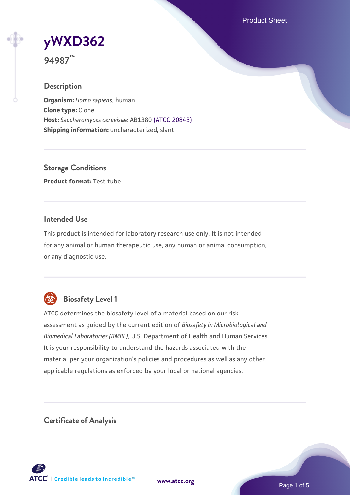Product Sheet

**[yWXD362](https://www.atcc.org/products/94987)**

**94987™**

### **Description**

**Organism:** *Homo sapiens*, human **Clone type:** Clone **Host:** *Saccharomyces cerevisiae* AB1380 [\(ATCC 20843\)](https://www.atcc.org/products/20843) **Shipping information:** uncharacterized, slant

**Storage Conditions Product format:** Test tube

### **Intended Use**

This product is intended for laboratory research use only. It is not intended for any animal or human therapeutic use, any human or animal consumption, or any diagnostic use.



## **Biosafety Level 1**

ATCC determines the biosafety level of a material based on our risk assessment as guided by the current edition of *Biosafety in Microbiological and Biomedical Laboratories (BMBL)*, U.S. Department of Health and Human Services. It is your responsibility to understand the hazards associated with the material per your organization's policies and procedures as well as any other applicable regulations as enforced by your local or national agencies.

**Certificate of Analysis**

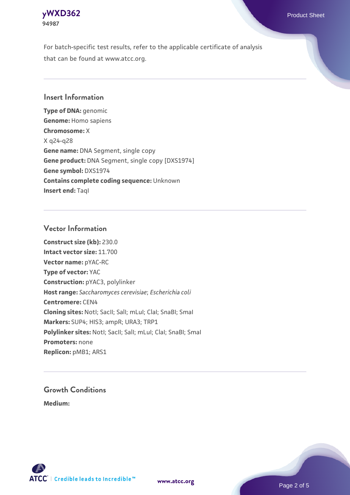

For batch-specific test results, refer to the applicable certificate of analysis that can be found at www.atcc.org.

### **Insert Information**

**Type of DNA:** genomic **Genome:** Homo sapiens **Chromosome:** X X q24-q28 **Gene name:** DNA Segment, single copy **Gene product:** DNA Segment, single copy [DXS1974] **Gene symbol:** DXS1974 **Contains complete coding sequence:** Unknown **Insert end: Tagl** 

#### **Vector Information**

**Construct size (kb):** 230.0 **Intact vector size:** 11.700 **Vector name:** pYAC-RC **Type of vector:** YAC **Construction:** pYAC3, polylinker **Host range:** *Saccharomyces cerevisiae*; *Escherichia coli* **Centromere:** CEN4 **Cloning sites:** NotI; SacII; SalI; mLuI; ClaI; SnaBI; SmaI **Markers:** SUP4; HIS3; ampR; URA3; TRP1 Polylinker sites: Notl; SacII; SalI; mLuI; ClaI; SnaBI; SmaI **Promoters:** none **Replicon:** pMB1; ARS1

# **Growth Conditions**

**Medium:** 



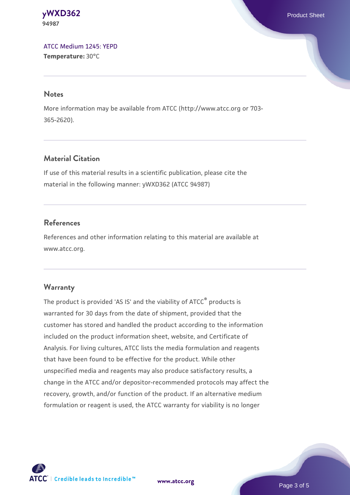**[yWXD362](https://www.atcc.org/products/94987)** Product Sheet **94987**

[ATCC Medium 1245: YEPD](https://www.atcc.org/-/media/product-assets/documents/microbial-media-formulations/1/2/4/5/atcc-medium-1245.pdf?rev=705ca55d1b6f490a808a965d5c072196) **Temperature:** 30°C

#### **Notes**

More information may be available from ATCC (http://www.atcc.org or 703- 365-2620).

### **Material Citation**

If use of this material results in a scientific publication, please cite the material in the following manner: yWXD362 (ATCC 94987)

### **References**

References and other information relating to this material are available at www.atcc.org.

#### **Warranty**

The product is provided 'AS IS' and the viability of ATCC® products is warranted for 30 days from the date of shipment, provided that the customer has stored and handled the product according to the information included on the product information sheet, website, and Certificate of Analysis. For living cultures, ATCC lists the media formulation and reagents that have been found to be effective for the product. While other unspecified media and reagents may also produce satisfactory results, a change in the ATCC and/or depositor-recommended protocols may affect the recovery, growth, and/or function of the product. If an alternative medium formulation or reagent is used, the ATCC warranty for viability is no longer

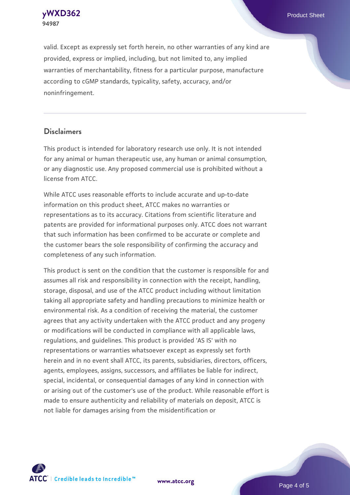**[yWXD362](https://www.atcc.org/products/94987)** Product Sheet **94987**

valid. Except as expressly set forth herein, no other warranties of any kind are provided, express or implied, including, but not limited to, any implied warranties of merchantability, fitness for a particular purpose, manufacture according to cGMP standards, typicality, safety, accuracy, and/or noninfringement.

#### **Disclaimers**

This product is intended for laboratory research use only. It is not intended for any animal or human therapeutic use, any human or animal consumption, or any diagnostic use. Any proposed commercial use is prohibited without a license from ATCC.

While ATCC uses reasonable efforts to include accurate and up-to-date information on this product sheet, ATCC makes no warranties or representations as to its accuracy. Citations from scientific literature and patents are provided for informational purposes only. ATCC does not warrant that such information has been confirmed to be accurate or complete and the customer bears the sole responsibility of confirming the accuracy and completeness of any such information.

This product is sent on the condition that the customer is responsible for and assumes all risk and responsibility in connection with the receipt, handling, storage, disposal, and use of the ATCC product including without limitation taking all appropriate safety and handling precautions to minimize health or environmental risk. As a condition of receiving the material, the customer agrees that any activity undertaken with the ATCC product and any progeny or modifications will be conducted in compliance with all applicable laws, regulations, and guidelines. This product is provided 'AS IS' with no representations or warranties whatsoever except as expressly set forth herein and in no event shall ATCC, its parents, subsidiaries, directors, officers, agents, employees, assigns, successors, and affiliates be liable for indirect, special, incidental, or consequential damages of any kind in connection with or arising out of the customer's use of the product. While reasonable effort is made to ensure authenticity and reliability of materials on deposit, ATCC is not liable for damages arising from the misidentification or



**[www.atcc.org](http://www.atcc.org)**

Page 4 of 5